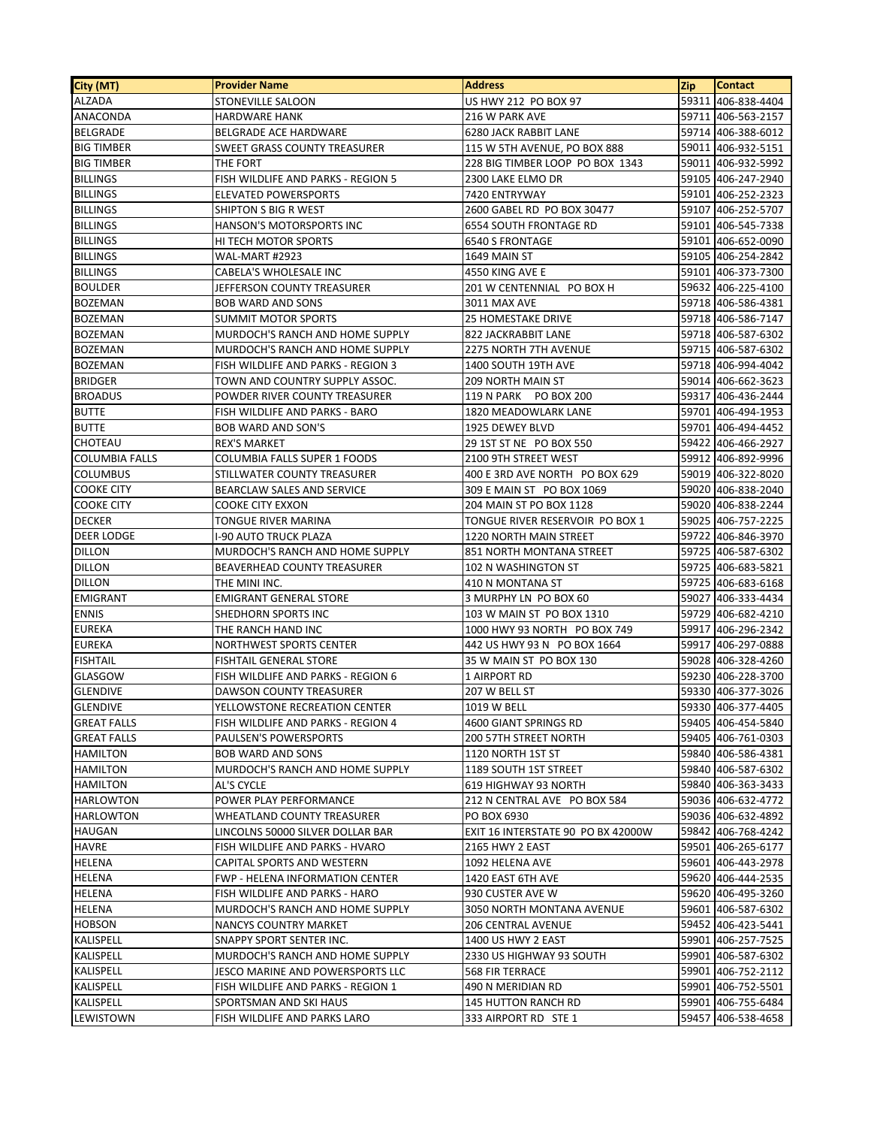| 59311 406-838-4404<br><b>ALZADA</b><br>STONEVILLE SALOON<br>US HWY 212 PO BOX 97<br><b>ANACONDA</b><br>59711 406-563-2157<br><b>HARDWARE HANK</b><br>216 W PARK AVE<br><b>BELGRADE</b><br>BELGRADE ACE HARDWARE<br><b>6280 JACK RABBIT LANE</b><br>59714 406-388-6012<br><b>BIG TIMBER</b><br><b>SWEET GRASS COUNTY TREASURER</b><br>115 W 5TH AVENUE, PO BOX 888<br>59011 406-932-5151<br><b>BIG TIMBER</b><br>228 BIG TIMBER LOOP PO BOX 1343<br>59011 406-932-5992<br>THE FORT<br><b>BILLINGS</b><br>59105 406-247-2940<br>FISH WILDLIFE AND PARKS - REGION 5<br>2300 LAKE ELMO DR<br><b>BILLINGS</b><br>59101 406-252-2323<br>ELEVATED POWERSPORTS<br>7420 ENTRYWAY<br><b>BILLINGS</b><br>59107 406-252-5707<br>SHIPTON S BIG R WEST<br>2600 GABEL RD PO BOX 30477<br><b>BILLINGS</b><br>HANSON'S MOTORSPORTS INC<br><b>6554 SOUTH FRONTAGE RD</b><br>59101 406-545-7338<br><b>BILLINGS</b><br>HI TECH MOTOR SPORTS<br>59101 406-652-0090<br><b>6540 S FRONTAGE</b><br><b>BILLINGS</b><br>WAL-MART #2923<br>1649 MAIN ST<br>59105 406-254-2842<br><b>BILLINGS</b><br>59101 406-373-7300<br>CABELA'S WHOLESALE INC<br>4550 KING AVE E<br>59632 406-225-4100<br><b>BOULDER</b><br>JEFFERSON COUNTY TREASURER<br>201 W CENTENNIAL PO BOX H<br><b>BOZEMAN</b><br>59718 406-586-4381<br><b>BOB WARD AND SONS</b><br>3011 MAX AVE<br><b>BOZEMAN</b><br>59718 406-586-7147<br><b>SUMMIT MOTOR SPORTS</b><br><b>25 HOMESTAKE DRIVE</b><br>MURDOCH'S RANCH AND HOME SUPPLY<br>59718 406-587-6302<br><b>BOZEMAN</b><br>822 JACKRABBIT LANE<br><b>BOZEMAN</b><br>MURDOCH'S RANCH AND HOME SUPPLY<br><b>2275 NORTH 7TH AVENUE</b><br>59715 406-587-6302<br><b>BOZEMAN</b><br>59718 406-994-4042<br>FISH WILDLIFE AND PARKS - REGION 3<br>1400 SOUTH 19TH AVE<br><b>BRIDGER</b><br>TOWN AND COUNTRY SUPPLY ASSOC.<br>59014 406-662-3623<br><b>209 NORTH MAIN ST</b><br><b>BROADUS</b><br>POWDER RIVER COUNTY TREASURER<br>59317 406-436-2444<br>119 N PARK PO BOX 200<br><b>BUTTE</b><br>59701 406-494-1953<br>FISH WILDLIFE AND PARKS - BARO<br>1820 MEADOWLARK LANE<br><b>BUTTE</b><br>1925 DEWEY BLVD<br>59701 406-494-4452<br><b>BOB WARD AND SON'S</b><br>CHOTEAU<br>59422 406-466-2927<br><b>REX'S MARKET</b><br>29 1ST ST NE PO BOX 550<br>59912 406-892-9996<br><b>COLUMBIA FALLS</b><br><b>COLUMBIA FALLS SUPER 1 FOODS</b><br>2100 9TH STREET WEST<br>STILLWATER COUNTY TREASURER<br>400 E 3RD AVE NORTH PO BOX 629<br>59019 406-322-8020<br><b>COLUMBUS</b><br><b>COOKE CITY</b><br>BEARCLAW SALES AND SERVICE<br>309 E MAIN ST PO BOX 1069<br>59020 406-838-2040<br>204 MAIN ST PO BOX 1128<br>59020 406-838-2244<br><b>COOKE CITY</b><br><b>COOKE CITY EXXON</b><br><b>DECKER</b><br>TONGUE RIVER MARINA<br>TONGUE RIVER RESERVOIR PO BOX 1<br>59025 406-757-2225<br><b>DEER LODGE</b><br>I-90 AUTO TRUCK PLAZA<br>1220 NORTH MAIN STREET<br>59722 406-846-3970<br><b>DILLON</b><br>59725 406-587-6302<br>MURDOCH'S RANCH AND HOME SUPPLY<br>851 NORTH MONTANA STREET<br><b>DILLON</b><br>59725 406-683-5821<br><b>BEAVERHEAD COUNTY TREASURER</b><br>102 N WASHINGTON ST<br><b>DILLON</b><br>59725 406-683-6168<br>THE MINI INC.<br>410 N MONTANA ST<br>59027 406-333-4434<br><b>EMIGRANT</b><br><b>EMIGRANT GENERAL STORE</b><br>3 MURPHY LN PO BOX 60<br>59729 406-682-4210<br><b>ENNIS</b><br>SHEDHORN SPORTS INC<br>103 W MAIN ST PO BOX 1310<br><b>EUREKA</b><br>59917 406-296-2342<br>THE RANCH HAND INC<br>1000 HWY 93 NORTH PO BOX 749<br><b>EUREKA</b><br>59917 406-297-0888<br>NORTHWEST SPORTS CENTER<br>442 US HWY 93 N PO BOX 1664<br><b>FISHTAIL</b><br><b>FISHTAIL GENERAL STORE</b><br>35 W MAIN ST PO BOX 130<br>59028 406-328-4260<br>59230 406-228-3700<br>GLASGOW<br>FISH WILDLIFE AND PARKS - REGION 6<br>1 AIRPORT RD<br><b>GLENDIVE</b><br>DAWSON COUNTY TREASURER<br>59330 406-377-3026<br>207 W BELL ST<br>59330 406-377-4405<br><b>GLENDIVE</b><br>YELLOWSTONE RECREATION CENTER<br>1019 W BELL<br>59405 406-454-5840<br><b>GREAT FALLS</b><br>FISH WILDLIFE AND PARKS - REGION 4<br>4600 GIANT SPRINGS RD<br><b>GREAT FALLS</b><br>PAULSEN'S POWERSPORTS<br>59405 406-761-0303<br>200 57TH STREET NORTH<br><b>HAMILTON</b><br><b>BOB WARD AND SONS</b><br>1120 NORTH 1ST ST<br>59840 406-586-4381<br><b>HAMILTON</b><br>MURDOCH'S RANCH AND HOME SUPPLY<br>1189 SOUTH 1ST STREET<br>59840 406-587-6302<br>59840 406-363-3433<br><b>HAMILTON</b><br>AL'S CYCLE<br>619 HIGHWAY 93 NORTH<br>59036 406-632-4772<br>HARLOWTON<br>POWER PLAY PERFORMANCE<br>212 N CENTRAL AVE PO BOX 584<br>HARLOWTON<br><b>WHEATLAND COUNTY TREASURER</b><br>59036 406-632-4892<br>PO BOX 6930<br><b>HAUGAN</b><br>LINCOLNS 50000 SILVER DOLLAR BAR<br>59842 406-768-4242<br>EXIT 16 INTERSTATE 90 PO BX 42000W<br>HAVRE<br>FISH WILDLIFE AND PARKS - HVARO<br>2165 HWY 2 EAST<br>59501 406-265-6177<br>HELENA<br>CAPITAL SPORTS AND WESTERN<br>1092 HELENA AVE<br>59601 406-443-2978<br>HELENA<br><b>FWP - HELENA INFORMATION CENTER</b><br>1420 EAST 6TH AVE<br>59620 406-444-2535<br>HELENA<br>59620 406-495-3260<br>FISH WILDLIFE AND PARKS - HARO<br>930 CUSTER AVE W<br>HELENA<br>MURDOCH'S RANCH AND HOME SUPPLY<br>59601 406-587-6302<br>3050 NORTH MONTANA AVENUE<br><b>HOBSON</b><br>NANCYS COUNTRY MARKET<br>206 CENTRAL AVENUE<br>59452 406-423-5441<br>KALISPELL<br>SNAPPY SPORT SENTER INC.<br>59901 406-257-7525<br>1400 US HWY 2 EAST<br>KALISPELL<br>59901 406-587-6302<br>MURDOCH'S RANCH AND HOME SUPPLY<br>2330 US HIGHWAY 93 SOUTH<br>KALISPELL<br>59901 406-752-2112<br>JESCO MARINE AND POWERSPORTS LLC<br>568 FIR TERRACE<br>KALISPELL<br>FISH WILDLIFE AND PARKS - REGION 1<br>59901 406-752-5501<br>490 N MERIDIAN RD<br>KALISPELL<br>SPORTSMAN AND SKI HAUS<br>59901 406-755-6484<br><b>145 HUTTON RANCH RD</b><br>59457 406-538-4658 | City (MT) | <b>Provider Name</b>         | <b>Address</b>       | <b>Zip</b> | <b>Contact</b> |
|-----------------------------------------------------------------------------------------------------------------------------------------------------------------------------------------------------------------------------------------------------------------------------------------------------------------------------------------------------------------------------------------------------------------------------------------------------------------------------------------------------------------------------------------------------------------------------------------------------------------------------------------------------------------------------------------------------------------------------------------------------------------------------------------------------------------------------------------------------------------------------------------------------------------------------------------------------------------------------------------------------------------------------------------------------------------------------------------------------------------------------------------------------------------------------------------------------------------------------------------------------------------------------------------------------------------------------------------------------------------------------------------------------------------------------------------------------------------------------------------------------------------------------------------------------------------------------------------------------------------------------------------------------------------------------------------------------------------------------------------------------------------------------------------------------------------------------------------------------------------------------------------------------------------------------------------------------------------------------------------------------------------------------------------------------------------------------------------------------------------------------------------------------------------------------------------------------------------------------------------------------------------------------------------------------------------------------------------------------------------------------------------------------------------------------------------------------------------------------------------------------------------------------------------------------------------------------------------------------------------------------------------------------------------------------------------------------------------------------------------------------------------------------------------------------------------------------------------------------------------------------------------------------------------------------------------------------------------------------------------------------------------------------------------------------------------------------------------------------------------------------------------------------------------------------------------------------------------------------------------------------------------------------------------------------------------------------------------------------------------------------------------------------------------------------------------------------------------------------------------------------------------------------------------------------------------------------------------------------------------------------------------------------------------------------------------------------------------------------------------------------------------------------------------------------------------------------------------------------------------------------------------------------------------------------------------------------------------------------------------------------------------------------------------------------------------------------------------------------------------------------------------------------------------------------------------------------------------------------------------------------------------------------------------------------------------------------------------------------------------------------------------------------------------------------------------------------------------------------------------------------------------------------------------------------------------------------------------------------------------------------------------------------------------------------------------------------------------------------------------------------------------------------------------------------------------------------------------------------------------------------------------------------------------------------------------------------------------------------------------------------------------------------------------------------------------------------------------------------------------------------------------------------------------------------------------------------------------------------------------------------------------------------------------------------------------------------------------------------------------------------------------------------------------------------------------------------------------------------------------------------------------------------------------------------------------------------------------------------------------------------------------------------------------------------------------------------------------------------------------------------------------------------|-----------|------------------------------|----------------------|------------|----------------|
|                                                                                                                                                                                                                                                                                                                                                                                                                                                                                                                                                                                                                                                                                                                                                                                                                                                                                                                                                                                                                                                                                                                                                                                                                                                                                                                                                                                                                                                                                                                                                                                                                                                                                                                                                                                                                                                                                                                                                                                                                                                                                                                                                                                                                                                                                                                                                                                                                                                                                                                                                                                                                                                                                                                                                                                                                                                                                                                                                                                                                                                                                                                                                                                                                                                                                                                                                                                                                                                                                                                                                                                                                                                                                                                                                                                                                                                                                                                                                                                                                                                                                                                                                                                                                                                                                                                                                                                                                                                                                                                                                                                                                                                                                                                                                                                                                                                                                                                                                                                                                                                                                                                                                                                                                                                                                                                                                                                                                                                                                                                                                                                                                                                                                                                                                                             |           |                              |                      |            |                |
|                                                                                                                                                                                                                                                                                                                                                                                                                                                                                                                                                                                                                                                                                                                                                                                                                                                                                                                                                                                                                                                                                                                                                                                                                                                                                                                                                                                                                                                                                                                                                                                                                                                                                                                                                                                                                                                                                                                                                                                                                                                                                                                                                                                                                                                                                                                                                                                                                                                                                                                                                                                                                                                                                                                                                                                                                                                                                                                                                                                                                                                                                                                                                                                                                                                                                                                                                                                                                                                                                                                                                                                                                                                                                                                                                                                                                                                                                                                                                                                                                                                                                                                                                                                                                                                                                                                                                                                                                                                                                                                                                                                                                                                                                                                                                                                                                                                                                                                                                                                                                                                                                                                                                                                                                                                                                                                                                                                                                                                                                                                                                                                                                                                                                                                                                                             |           |                              |                      |            |                |
|                                                                                                                                                                                                                                                                                                                                                                                                                                                                                                                                                                                                                                                                                                                                                                                                                                                                                                                                                                                                                                                                                                                                                                                                                                                                                                                                                                                                                                                                                                                                                                                                                                                                                                                                                                                                                                                                                                                                                                                                                                                                                                                                                                                                                                                                                                                                                                                                                                                                                                                                                                                                                                                                                                                                                                                                                                                                                                                                                                                                                                                                                                                                                                                                                                                                                                                                                                                                                                                                                                                                                                                                                                                                                                                                                                                                                                                                                                                                                                                                                                                                                                                                                                                                                                                                                                                                                                                                                                                                                                                                                                                                                                                                                                                                                                                                                                                                                                                                                                                                                                                                                                                                                                                                                                                                                                                                                                                                                                                                                                                                                                                                                                                                                                                                                                             |           |                              |                      |            |                |
|                                                                                                                                                                                                                                                                                                                                                                                                                                                                                                                                                                                                                                                                                                                                                                                                                                                                                                                                                                                                                                                                                                                                                                                                                                                                                                                                                                                                                                                                                                                                                                                                                                                                                                                                                                                                                                                                                                                                                                                                                                                                                                                                                                                                                                                                                                                                                                                                                                                                                                                                                                                                                                                                                                                                                                                                                                                                                                                                                                                                                                                                                                                                                                                                                                                                                                                                                                                                                                                                                                                                                                                                                                                                                                                                                                                                                                                                                                                                                                                                                                                                                                                                                                                                                                                                                                                                                                                                                                                                                                                                                                                                                                                                                                                                                                                                                                                                                                                                                                                                                                                                                                                                                                                                                                                                                                                                                                                                                                                                                                                                                                                                                                                                                                                                                                             |           |                              |                      |            |                |
|                                                                                                                                                                                                                                                                                                                                                                                                                                                                                                                                                                                                                                                                                                                                                                                                                                                                                                                                                                                                                                                                                                                                                                                                                                                                                                                                                                                                                                                                                                                                                                                                                                                                                                                                                                                                                                                                                                                                                                                                                                                                                                                                                                                                                                                                                                                                                                                                                                                                                                                                                                                                                                                                                                                                                                                                                                                                                                                                                                                                                                                                                                                                                                                                                                                                                                                                                                                                                                                                                                                                                                                                                                                                                                                                                                                                                                                                                                                                                                                                                                                                                                                                                                                                                                                                                                                                                                                                                                                                                                                                                                                                                                                                                                                                                                                                                                                                                                                                                                                                                                                                                                                                                                                                                                                                                                                                                                                                                                                                                                                                                                                                                                                                                                                                                                             |           |                              |                      |            |                |
|                                                                                                                                                                                                                                                                                                                                                                                                                                                                                                                                                                                                                                                                                                                                                                                                                                                                                                                                                                                                                                                                                                                                                                                                                                                                                                                                                                                                                                                                                                                                                                                                                                                                                                                                                                                                                                                                                                                                                                                                                                                                                                                                                                                                                                                                                                                                                                                                                                                                                                                                                                                                                                                                                                                                                                                                                                                                                                                                                                                                                                                                                                                                                                                                                                                                                                                                                                                                                                                                                                                                                                                                                                                                                                                                                                                                                                                                                                                                                                                                                                                                                                                                                                                                                                                                                                                                                                                                                                                                                                                                                                                                                                                                                                                                                                                                                                                                                                                                                                                                                                                                                                                                                                                                                                                                                                                                                                                                                                                                                                                                                                                                                                                                                                                                                                             |           |                              |                      |            |                |
|                                                                                                                                                                                                                                                                                                                                                                                                                                                                                                                                                                                                                                                                                                                                                                                                                                                                                                                                                                                                                                                                                                                                                                                                                                                                                                                                                                                                                                                                                                                                                                                                                                                                                                                                                                                                                                                                                                                                                                                                                                                                                                                                                                                                                                                                                                                                                                                                                                                                                                                                                                                                                                                                                                                                                                                                                                                                                                                                                                                                                                                                                                                                                                                                                                                                                                                                                                                                                                                                                                                                                                                                                                                                                                                                                                                                                                                                                                                                                                                                                                                                                                                                                                                                                                                                                                                                                                                                                                                                                                                                                                                                                                                                                                                                                                                                                                                                                                                                                                                                                                                                                                                                                                                                                                                                                                                                                                                                                                                                                                                                                                                                                                                                                                                                                                             |           |                              |                      |            |                |
|                                                                                                                                                                                                                                                                                                                                                                                                                                                                                                                                                                                                                                                                                                                                                                                                                                                                                                                                                                                                                                                                                                                                                                                                                                                                                                                                                                                                                                                                                                                                                                                                                                                                                                                                                                                                                                                                                                                                                                                                                                                                                                                                                                                                                                                                                                                                                                                                                                                                                                                                                                                                                                                                                                                                                                                                                                                                                                                                                                                                                                                                                                                                                                                                                                                                                                                                                                                                                                                                                                                                                                                                                                                                                                                                                                                                                                                                                                                                                                                                                                                                                                                                                                                                                                                                                                                                                                                                                                                                                                                                                                                                                                                                                                                                                                                                                                                                                                                                                                                                                                                                                                                                                                                                                                                                                                                                                                                                                                                                                                                                                                                                                                                                                                                                                                             |           |                              |                      |            |                |
|                                                                                                                                                                                                                                                                                                                                                                                                                                                                                                                                                                                                                                                                                                                                                                                                                                                                                                                                                                                                                                                                                                                                                                                                                                                                                                                                                                                                                                                                                                                                                                                                                                                                                                                                                                                                                                                                                                                                                                                                                                                                                                                                                                                                                                                                                                                                                                                                                                                                                                                                                                                                                                                                                                                                                                                                                                                                                                                                                                                                                                                                                                                                                                                                                                                                                                                                                                                                                                                                                                                                                                                                                                                                                                                                                                                                                                                                                                                                                                                                                                                                                                                                                                                                                                                                                                                                                                                                                                                                                                                                                                                                                                                                                                                                                                                                                                                                                                                                                                                                                                                                                                                                                                                                                                                                                                                                                                                                                                                                                                                                                                                                                                                                                                                                                                             |           |                              |                      |            |                |
|                                                                                                                                                                                                                                                                                                                                                                                                                                                                                                                                                                                                                                                                                                                                                                                                                                                                                                                                                                                                                                                                                                                                                                                                                                                                                                                                                                                                                                                                                                                                                                                                                                                                                                                                                                                                                                                                                                                                                                                                                                                                                                                                                                                                                                                                                                                                                                                                                                                                                                                                                                                                                                                                                                                                                                                                                                                                                                                                                                                                                                                                                                                                                                                                                                                                                                                                                                                                                                                                                                                                                                                                                                                                                                                                                                                                                                                                                                                                                                                                                                                                                                                                                                                                                                                                                                                                                                                                                                                                                                                                                                                                                                                                                                                                                                                                                                                                                                                                                                                                                                                                                                                                                                                                                                                                                                                                                                                                                                                                                                                                                                                                                                                                                                                                                                             |           |                              |                      |            |                |
|                                                                                                                                                                                                                                                                                                                                                                                                                                                                                                                                                                                                                                                                                                                                                                                                                                                                                                                                                                                                                                                                                                                                                                                                                                                                                                                                                                                                                                                                                                                                                                                                                                                                                                                                                                                                                                                                                                                                                                                                                                                                                                                                                                                                                                                                                                                                                                                                                                                                                                                                                                                                                                                                                                                                                                                                                                                                                                                                                                                                                                                                                                                                                                                                                                                                                                                                                                                                                                                                                                                                                                                                                                                                                                                                                                                                                                                                                                                                                                                                                                                                                                                                                                                                                                                                                                                                                                                                                                                                                                                                                                                                                                                                                                                                                                                                                                                                                                                                                                                                                                                                                                                                                                                                                                                                                                                                                                                                                                                                                                                                                                                                                                                                                                                                                                             |           |                              |                      |            |                |
|                                                                                                                                                                                                                                                                                                                                                                                                                                                                                                                                                                                                                                                                                                                                                                                                                                                                                                                                                                                                                                                                                                                                                                                                                                                                                                                                                                                                                                                                                                                                                                                                                                                                                                                                                                                                                                                                                                                                                                                                                                                                                                                                                                                                                                                                                                                                                                                                                                                                                                                                                                                                                                                                                                                                                                                                                                                                                                                                                                                                                                                                                                                                                                                                                                                                                                                                                                                                                                                                                                                                                                                                                                                                                                                                                                                                                                                                                                                                                                                                                                                                                                                                                                                                                                                                                                                                                                                                                                                                                                                                                                                                                                                                                                                                                                                                                                                                                                                                                                                                                                                                                                                                                                                                                                                                                                                                                                                                                                                                                                                                                                                                                                                                                                                                                                             |           |                              |                      |            |                |
|                                                                                                                                                                                                                                                                                                                                                                                                                                                                                                                                                                                                                                                                                                                                                                                                                                                                                                                                                                                                                                                                                                                                                                                                                                                                                                                                                                                                                                                                                                                                                                                                                                                                                                                                                                                                                                                                                                                                                                                                                                                                                                                                                                                                                                                                                                                                                                                                                                                                                                                                                                                                                                                                                                                                                                                                                                                                                                                                                                                                                                                                                                                                                                                                                                                                                                                                                                                                                                                                                                                                                                                                                                                                                                                                                                                                                                                                                                                                                                                                                                                                                                                                                                                                                                                                                                                                                                                                                                                                                                                                                                                                                                                                                                                                                                                                                                                                                                                                                                                                                                                                                                                                                                                                                                                                                                                                                                                                                                                                                                                                                                                                                                                                                                                                                                             |           |                              |                      |            |                |
|                                                                                                                                                                                                                                                                                                                                                                                                                                                                                                                                                                                                                                                                                                                                                                                                                                                                                                                                                                                                                                                                                                                                                                                                                                                                                                                                                                                                                                                                                                                                                                                                                                                                                                                                                                                                                                                                                                                                                                                                                                                                                                                                                                                                                                                                                                                                                                                                                                                                                                                                                                                                                                                                                                                                                                                                                                                                                                                                                                                                                                                                                                                                                                                                                                                                                                                                                                                                                                                                                                                                                                                                                                                                                                                                                                                                                                                                                                                                                                                                                                                                                                                                                                                                                                                                                                                                                                                                                                                                                                                                                                                                                                                                                                                                                                                                                                                                                                                                                                                                                                                                                                                                                                                                                                                                                                                                                                                                                                                                                                                                                                                                                                                                                                                                                                             |           |                              |                      |            |                |
|                                                                                                                                                                                                                                                                                                                                                                                                                                                                                                                                                                                                                                                                                                                                                                                                                                                                                                                                                                                                                                                                                                                                                                                                                                                                                                                                                                                                                                                                                                                                                                                                                                                                                                                                                                                                                                                                                                                                                                                                                                                                                                                                                                                                                                                                                                                                                                                                                                                                                                                                                                                                                                                                                                                                                                                                                                                                                                                                                                                                                                                                                                                                                                                                                                                                                                                                                                                                                                                                                                                                                                                                                                                                                                                                                                                                                                                                                                                                                                                                                                                                                                                                                                                                                                                                                                                                                                                                                                                                                                                                                                                                                                                                                                                                                                                                                                                                                                                                                                                                                                                                                                                                                                                                                                                                                                                                                                                                                                                                                                                                                                                                                                                                                                                                                                             |           |                              |                      |            |                |
|                                                                                                                                                                                                                                                                                                                                                                                                                                                                                                                                                                                                                                                                                                                                                                                                                                                                                                                                                                                                                                                                                                                                                                                                                                                                                                                                                                                                                                                                                                                                                                                                                                                                                                                                                                                                                                                                                                                                                                                                                                                                                                                                                                                                                                                                                                                                                                                                                                                                                                                                                                                                                                                                                                                                                                                                                                                                                                                                                                                                                                                                                                                                                                                                                                                                                                                                                                                                                                                                                                                                                                                                                                                                                                                                                                                                                                                                                                                                                                                                                                                                                                                                                                                                                                                                                                                                                                                                                                                                                                                                                                                                                                                                                                                                                                                                                                                                                                                                                                                                                                                                                                                                                                                                                                                                                                                                                                                                                                                                                                                                                                                                                                                                                                                                                                             |           |                              |                      |            |                |
|                                                                                                                                                                                                                                                                                                                                                                                                                                                                                                                                                                                                                                                                                                                                                                                                                                                                                                                                                                                                                                                                                                                                                                                                                                                                                                                                                                                                                                                                                                                                                                                                                                                                                                                                                                                                                                                                                                                                                                                                                                                                                                                                                                                                                                                                                                                                                                                                                                                                                                                                                                                                                                                                                                                                                                                                                                                                                                                                                                                                                                                                                                                                                                                                                                                                                                                                                                                                                                                                                                                                                                                                                                                                                                                                                                                                                                                                                                                                                                                                                                                                                                                                                                                                                                                                                                                                                                                                                                                                                                                                                                                                                                                                                                                                                                                                                                                                                                                                                                                                                                                                                                                                                                                                                                                                                                                                                                                                                                                                                                                                                                                                                                                                                                                                                                             |           |                              |                      |            |                |
|                                                                                                                                                                                                                                                                                                                                                                                                                                                                                                                                                                                                                                                                                                                                                                                                                                                                                                                                                                                                                                                                                                                                                                                                                                                                                                                                                                                                                                                                                                                                                                                                                                                                                                                                                                                                                                                                                                                                                                                                                                                                                                                                                                                                                                                                                                                                                                                                                                                                                                                                                                                                                                                                                                                                                                                                                                                                                                                                                                                                                                                                                                                                                                                                                                                                                                                                                                                                                                                                                                                                                                                                                                                                                                                                                                                                                                                                                                                                                                                                                                                                                                                                                                                                                                                                                                                                                                                                                                                                                                                                                                                                                                                                                                                                                                                                                                                                                                                                                                                                                                                                                                                                                                                                                                                                                                                                                                                                                                                                                                                                                                                                                                                                                                                                                                             |           |                              |                      |            |                |
|                                                                                                                                                                                                                                                                                                                                                                                                                                                                                                                                                                                                                                                                                                                                                                                                                                                                                                                                                                                                                                                                                                                                                                                                                                                                                                                                                                                                                                                                                                                                                                                                                                                                                                                                                                                                                                                                                                                                                                                                                                                                                                                                                                                                                                                                                                                                                                                                                                                                                                                                                                                                                                                                                                                                                                                                                                                                                                                                                                                                                                                                                                                                                                                                                                                                                                                                                                                                                                                                                                                                                                                                                                                                                                                                                                                                                                                                                                                                                                                                                                                                                                                                                                                                                                                                                                                                                                                                                                                                                                                                                                                                                                                                                                                                                                                                                                                                                                                                                                                                                                                                                                                                                                                                                                                                                                                                                                                                                                                                                                                                                                                                                                                                                                                                                                             |           |                              |                      |            |                |
|                                                                                                                                                                                                                                                                                                                                                                                                                                                                                                                                                                                                                                                                                                                                                                                                                                                                                                                                                                                                                                                                                                                                                                                                                                                                                                                                                                                                                                                                                                                                                                                                                                                                                                                                                                                                                                                                                                                                                                                                                                                                                                                                                                                                                                                                                                                                                                                                                                                                                                                                                                                                                                                                                                                                                                                                                                                                                                                                                                                                                                                                                                                                                                                                                                                                                                                                                                                                                                                                                                                                                                                                                                                                                                                                                                                                                                                                                                                                                                                                                                                                                                                                                                                                                                                                                                                                                                                                                                                                                                                                                                                                                                                                                                                                                                                                                                                                                                                                                                                                                                                                                                                                                                                                                                                                                                                                                                                                                                                                                                                                                                                                                                                                                                                                                                             |           |                              |                      |            |                |
|                                                                                                                                                                                                                                                                                                                                                                                                                                                                                                                                                                                                                                                                                                                                                                                                                                                                                                                                                                                                                                                                                                                                                                                                                                                                                                                                                                                                                                                                                                                                                                                                                                                                                                                                                                                                                                                                                                                                                                                                                                                                                                                                                                                                                                                                                                                                                                                                                                                                                                                                                                                                                                                                                                                                                                                                                                                                                                                                                                                                                                                                                                                                                                                                                                                                                                                                                                                                                                                                                                                                                                                                                                                                                                                                                                                                                                                                                                                                                                                                                                                                                                                                                                                                                                                                                                                                                                                                                                                                                                                                                                                                                                                                                                                                                                                                                                                                                                                                                                                                                                                                                                                                                                                                                                                                                                                                                                                                                                                                                                                                                                                                                                                                                                                                                                             |           |                              |                      |            |                |
|                                                                                                                                                                                                                                                                                                                                                                                                                                                                                                                                                                                                                                                                                                                                                                                                                                                                                                                                                                                                                                                                                                                                                                                                                                                                                                                                                                                                                                                                                                                                                                                                                                                                                                                                                                                                                                                                                                                                                                                                                                                                                                                                                                                                                                                                                                                                                                                                                                                                                                                                                                                                                                                                                                                                                                                                                                                                                                                                                                                                                                                                                                                                                                                                                                                                                                                                                                                                                                                                                                                                                                                                                                                                                                                                                                                                                                                                                                                                                                                                                                                                                                                                                                                                                                                                                                                                                                                                                                                                                                                                                                                                                                                                                                                                                                                                                                                                                                                                                                                                                                                                                                                                                                                                                                                                                                                                                                                                                                                                                                                                                                                                                                                                                                                                                                             |           |                              |                      |            |                |
|                                                                                                                                                                                                                                                                                                                                                                                                                                                                                                                                                                                                                                                                                                                                                                                                                                                                                                                                                                                                                                                                                                                                                                                                                                                                                                                                                                                                                                                                                                                                                                                                                                                                                                                                                                                                                                                                                                                                                                                                                                                                                                                                                                                                                                                                                                                                                                                                                                                                                                                                                                                                                                                                                                                                                                                                                                                                                                                                                                                                                                                                                                                                                                                                                                                                                                                                                                                                                                                                                                                                                                                                                                                                                                                                                                                                                                                                                                                                                                                                                                                                                                                                                                                                                                                                                                                                                                                                                                                                                                                                                                                                                                                                                                                                                                                                                                                                                                                                                                                                                                                                                                                                                                                                                                                                                                                                                                                                                                                                                                                                                                                                                                                                                                                                                                             |           |                              |                      |            |                |
|                                                                                                                                                                                                                                                                                                                                                                                                                                                                                                                                                                                                                                                                                                                                                                                                                                                                                                                                                                                                                                                                                                                                                                                                                                                                                                                                                                                                                                                                                                                                                                                                                                                                                                                                                                                                                                                                                                                                                                                                                                                                                                                                                                                                                                                                                                                                                                                                                                                                                                                                                                                                                                                                                                                                                                                                                                                                                                                                                                                                                                                                                                                                                                                                                                                                                                                                                                                                                                                                                                                                                                                                                                                                                                                                                                                                                                                                                                                                                                                                                                                                                                                                                                                                                                                                                                                                                                                                                                                                                                                                                                                                                                                                                                                                                                                                                                                                                                                                                                                                                                                                                                                                                                                                                                                                                                                                                                                                                                                                                                                                                                                                                                                                                                                                                                             |           |                              |                      |            |                |
|                                                                                                                                                                                                                                                                                                                                                                                                                                                                                                                                                                                                                                                                                                                                                                                                                                                                                                                                                                                                                                                                                                                                                                                                                                                                                                                                                                                                                                                                                                                                                                                                                                                                                                                                                                                                                                                                                                                                                                                                                                                                                                                                                                                                                                                                                                                                                                                                                                                                                                                                                                                                                                                                                                                                                                                                                                                                                                                                                                                                                                                                                                                                                                                                                                                                                                                                                                                                                                                                                                                                                                                                                                                                                                                                                                                                                                                                                                                                                                                                                                                                                                                                                                                                                                                                                                                                                                                                                                                                                                                                                                                                                                                                                                                                                                                                                                                                                                                                                                                                                                                                                                                                                                                                                                                                                                                                                                                                                                                                                                                                                                                                                                                                                                                                                                             |           |                              |                      |            |                |
|                                                                                                                                                                                                                                                                                                                                                                                                                                                                                                                                                                                                                                                                                                                                                                                                                                                                                                                                                                                                                                                                                                                                                                                                                                                                                                                                                                                                                                                                                                                                                                                                                                                                                                                                                                                                                                                                                                                                                                                                                                                                                                                                                                                                                                                                                                                                                                                                                                                                                                                                                                                                                                                                                                                                                                                                                                                                                                                                                                                                                                                                                                                                                                                                                                                                                                                                                                                                                                                                                                                                                                                                                                                                                                                                                                                                                                                                                                                                                                                                                                                                                                                                                                                                                                                                                                                                                                                                                                                                                                                                                                                                                                                                                                                                                                                                                                                                                                                                                                                                                                                                                                                                                                                                                                                                                                                                                                                                                                                                                                                                                                                                                                                                                                                                                                             |           |                              |                      |            |                |
|                                                                                                                                                                                                                                                                                                                                                                                                                                                                                                                                                                                                                                                                                                                                                                                                                                                                                                                                                                                                                                                                                                                                                                                                                                                                                                                                                                                                                                                                                                                                                                                                                                                                                                                                                                                                                                                                                                                                                                                                                                                                                                                                                                                                                                                                                                                                                                                                                                                                                                                                                                                                                                                                                                                                                                                                                                                                                                                                                                                                                                                                                                                                                                                                                                                                                                                                                                                                                                                                                                                                                                                                                                                                                                                                                                                                                                                                                                                                                                                                                                                                                                                                                                                                                                                                                                                                                                                                                                                                                                                                                                                                                                                                                                                                                                                                                                                                                                                                                                                                                                                                                                                                                                                                                                                                                                                                                                                                                                                                                                                                                                                                                                                                                                                                                                             |           |                              |                      |            |                |
|                                                                                                                                                                                                                                                                                                                                                                                                                                                                                                                                                                                                                                                                                                                                                                                                                                                                                                                                                                                                                                                                                                                                                                                                                                                                                                                                                                                                                                                                                                                                                                                                                                                                                                                                                                                                                                                                                                                                                                                                                                                                                                                                                                                                                                                                                                                                                                                                                                                                                                                                                                                                                                                                                                                                                                                                                                                                                                                                                                                                                                                                                                                                                                                                                                                                                                                                                                                                                                                                                                                                                                                                                                                                                                                                                                                                                                                                                                                                                                                                                                                                                                                                                                                                                                                                                                                                                                                                                                                                                                                                                                                                                                                                                                                                                                                                                                                                                                                                                                                                                                                                                                                                                                                                                                                                                                                                                                                                                                                                                                                                                                                                                                                                                                                                                                             |           |                              |                      |            |                |
|                                                                                                                                                                                                                                                                                                                                                                                                                                                                                                                                                                                                                                                                                                                                                                                                                                                                                                                                                                                                                                                                                                                                                                                                                                                                                                                                                                                                                                                                                                                                                                                                                                                                                                                                                                                                                                                                                                                                                                                                                                                                                                                                                                                                                                                                                                                                                                                                                                                                                                                                                                                                                                                                                                                                                                                                                                                                                                                                                                                                                                                                                                                                                                                                                                                                                                                                                                                                                                                                                                                                                                                                                                                                                                                                                                                                                                                                                                                                                                                                                                                                                                                                                                                                                                                                                                                                                                                                                                                                                                                                                                                                                                                                                                                                                                                                                                                                                                                                                                                                                                                                                                                                                                                                                                                                                                                                                                                                                                                                                                                                                                                                                                                                                                                                                                             |           |                              |                      |            |                |
|                                                                                                                                                                                                                                                                                                                                                                                                                                                                                                                                                                                                                                                                                                                                                                                                                                                                                                                                                                                                                                                                                                                                                                                                                                                                                                                                                                                                                                                                                                                                                                                                                                                                                                                                                                                                                                                                                                                                                                                                                                                                                                                                                                                                                                                                                                                                                                                                                                                                                                                                                                                                                                                                                                                                                                                                                                                                                                                                                                                                                                                                                                                                                                                                                                                                                                                                                                                                                                                                                                                                                                                                                                                                                                                                                                                                                                                                                                                                                                                                                                                                                                                                                                                                                                                                                                                                                                                                                                                                                                                                                                                                                                                                                                                                                                                                                                                                                                                                                                                                                                                                                                                                                                                                                                                                                                                                                                                                                                                                                                                                                                                                                                                                                                                                                                             |           |                              |                      |            |                |
|                                                                                                                                                                                                                                                                                                                                                                                                                                                                                                                                                                                                                                                                                                                                                                                                                                                                                                                                                                                                                                                                                                                                                                                                                                                                                                                                                                                                                                                                                                                                                                                                                                                                                                                                                                                                                                                                                                                                                                                                                                                                                                                                                                                                                                                                                                                                                                                                                                                                                                                                                                                                                                                                                                                                                                                                                                                                                                                                                                                                                                                                                                                                                                                                                                                                                                                                                                                                                                                                                                                                                                                                                                                                                                                                                                                                                                                                                                                                                                                                                                                                                                                                                                                                                                                                                                                                                                                                                                                                                                                                                                                                                                                                                                                                                                                                                                                                                                                                                                                                                                                                                                                                                                                                                                                                                                                                                                                                                                                                                                                                                                                                                                                                                                                                                                             |           |                              |                      |            |                |
|                                                                                                                                                                                                                                                                                                                                                                                                                                                                                                                                                                                                                                                                                                                                                                                                                                                                                                                                                                                                                                                                                                                                                                                                                                                                                                                                                                                                                                                                                                                                                                                                                                                                                                                                                                                                                                                                                                                                                                                                                                                                                                                                                                                                                                                                                                                                                                                                                                                                                                                                                                                                                                                                                                                                                                                                                                                                                                                                                                                                                                                                                                                                                                                                                                                                                                                                                                                                                                                                                                                                                                                                                                                                                                                                                                                                                                                                                                                                                                                                                                                                                                                                                                                                                                                                                                                                                                                                                                                                                                                                                                                                                                                                                                                                                                                                                                                                                                                                                                                                                                                                                                                                                                                                                                                                                                                                                                                                                                                                                                                                                                                                                                                                                                                                                                             |           |                              |                      |            |                |
|                                                                                                                                                                                                                                                                                                                                                                                                                                                                                                                                                                                                                                                                                                                                                                                                                                                                                                                                                                                                                                                                                                                                                                                                                                                                                                                                                                                                                                                                                                                                                                                                                                                                                                                                                                                                                                                                                                                                                                                                                                                                                                                                                                                                                                                                                                                                                                                                                                                                                                                                                                                                                                                                                                                                                                                                                                                                                                                                                                                                                                                                                                                                                                                                                                                                                                                                                                                                                                                                                                                                                                                                                                                                                                                                                                                                                                                                                                                                                                                                                                                                                                                                                                                                                                                                                                                                                                                                                                                                                                                                                                                                                                                                                                                                                                                                                                                                                                                                                                                                                                                                                                                                                                                                                                                                                                                                                                                                                                                                                                                                                                                                                                                                                                                                                                             |           |                              |                      |            |                |
|                                                                                                                                                                                                                                                                                                                                                                                                                                                                                                                                                                                                                                                                                                                                                                                                                                                                                                                                                                                                                                                                                                                                                                                                                                                                                                                                                                                                                                                                                                                                                                                                                                                                                                                                                                                                                                                                                                                                                                                                                                                                                                                                                                                                                                                                                                                                                                                                                                                                                                                                                                                                                                                                                                                                                                                                                                                                                                                                                                                                                                                                                                                                                                                                                                                                                                                                                                                                                                                                                                                                                                                                                                                                                                                                                                                                                                                                                                                                                                                                                                                                                                                                                                                                                                                                                                                                                                                                                                                                                                                                                                                                                                                                                                                                                                                                                                                                                                                                                                                                                                                                                                                                                                                                                                                                                                                                                                                                                                                                                                                                                                                                                                                                                                                                                                             |           |                              |                      |            |                |
|                                                                                                                                                                                                                                                                                                                                                                                                                                                                                                                                                                                                                                                                                                                                                                                                                                                                                                                                                                                                                                                                                                                                                                                                                                                                                                                                                                                                                                                                                                                                                                                                                                                                                                                                                                                                                                                                                                                                                                                                                                                                                                                                                                                                                                                                                                                                                                                                                                                                                                                                                                                                                                                                                                                                                                                                                                                                                                                                                                                                                                                                                                                                                                                                                                                                                                                                                                                                                                                                                                                                                                                                                                                                                                                                                                                                                                                                                                                                                                                                                                                                                                                                                                                                                                                                                                                                                                                                                                                                                                                                                                                                                                                                                                                                                                                                                                                                                                                                                                                                                                                                                                                                                                                                                                                                                                                                                                                                                                                                                                                                                                                                                                                                                                                                                                             |           |                              |                      |            |                |
|                                                                                                                                                                                                                                                                                                                                                                                                                                                                                                                                                                                                                                                                                                                                                                                                                                                                                                                                                                                                                                                                                                                                                                                                                                                                                                                                                                                                                                                                                                                                                                                                                                                                                                                                                                                                                                                                                                                                                                                                                                                                                                                                                                                                                                                                                                                                                                                                                                                                                                                                                                                                                                                                                                                                                                                                                                                                                                                                                                                                                                                                                                                                                                                                                                                                                                                                                                                                                                                                                                                                                                                                                                                                                                                                                                                                                                                                                                                                                                                                                                                                                                                                                                                                                                                                                                                                                                                                                                                                                                                                                                                                                                                                                                                                                                                                                                                                                                                                                                                                                                                                                                                                                                                                                                                                                                                                                                                                                                                                                                                                                                                                                                                                                                                                                                             |           |                              |                      |            |                |
|                                                                                                                                                                                                                                                                                                                                                                                                                                                                                                                                                                                                                                                                                                                                                                                                                                                                                                                                                                                                                                                                                                                                                                                                                                                                                                                                                                                                                                                                                                                                                                                                                                                                                                                                                                                                                                                                                                                                                                                                                                                                                                                                                                                                                                                                                                                                                                                                                                                                                                                                                                                                                                                                                                                                                                                                                                                                                                                                                                                                                                                                                                                                                                                                                                                                                                                                                                                                                                                                                                                                                                                                                                                                                                                                                                                                                                                                                                                                                                                                                                                                                                                                                                                                                                                                                                                                                                                                                                                                                                                                                                                                                                                                                                                                                                                                                                                                                                                                                                                                                                                                                                                                                                                                                                                                                                                                                                                                                                                                                                                                                                                                                                                                                                                                                                             |           |                              |                      |            |                |
|                                                                                                                                                                                                                                                                                                                                                                                                                                                                                                                                                                                                                                                                                                                                                                                                                                                                                                                                                                                                                                                                                                                                                                                                                                                                                                                                                                                                                                                                                                                                                                                                                                                                                                                                                                                                                                                                                                                                                                                                                                                                                                                                                                                                                                                                                                                                                                                                                                                                                                                                                                                                                                                                                                                                                                                                                                                                                                                                                                                                                                                                                                                                                                                                                                                                                                                                                                                                                                                                                                                                                                                                                                                                                                                                                                                                                                                                                                                                                                                                                                                                                                                                                                                                                                                                                                                                                                                                                                                                                                                                                                                                                                                                                                                                                                                                                                                                                                                                                                                                                                                                                                                                                                                                                                                                                                                                                                                                                                                                                                                                                                                                                                                                                                                                                                             |           |                              |                      |            |                |
|                                                                                                                                                                                                                                                                                                                                                                                                                                                                                                                                                                                                                                                                                                                                                                                                                                                                                                                                                                                                                                                                                                                                                                                                                                                                                                                                                                                                                                                                                                                                                                                                                                                                                                                                                                                                                                                                                                                                                                                                                                                                                                                                                                                                                                                                                                                                                                                                                                                                                                                                                                                                                                                                                                                                                                                                                                                                                                                                                                                                                                                                                                                                                                                                                                                                                                                                                                                                                                                                                                                                                                                                                                                                                                                                                                                                                                                                                                                                                                                                                                                                                                                                                                                                                                                                                                                                                                                                                                                                                                                                                                                                                                                                                                                                                                                                                                                                                                                                                                                                                                                                                                                                                                                                                                                                                                                                                                                                                                                                                                                                                                                                                                                                                                                                                                             |           |                              |                      |            |                |
|                                                                                                                                                                                                                                                                                                                                                                                                                                                                                                                                                                                                                                                                                                                                                                                                                                                                                                                                                                                                                                                                                                                                                                                                                                                                                                                                                                                                                                                                                                                                                                                                                                                                                                                                                                                                                                                                                                                                                                                                                                                                                                                                                                                                                                                                                                                                                                                                                                                                                                                                                                                                                                                                                                                                                                                                                                                                                                                                                                                                                                                                                                                                                                                                                                                                                                                                                                                                                                                                                                                                                                                                                                                                                                                                                                                                                                                                                                                                                                                                                                                                                                                                                                                                                                                                                                                                                                                                                                                                                                                                                                                                                                                                                                                                                                                                                                                                                                                                                                                                                                                                                                                                                                                                                                                                                                                                                                                                                                                                                                                                                                                                                                                                                                                                                                             |           |                              |                      |            |                |
|                                                                                                                                                                                                                                                                                                                                                                                                                                                                                                                                                                                                                                                                                                                                                                                                                                                                                                                                                                                                                                                                                                                                                                                                                                                                                                                                                                                                                                                                                                                                                                                                                                                                                                                                                                                                                                                                                                                                                                                                                                                                                                                                                                                                                                                                                                                                                                                                                                                                                                                                                                                                                                                                                                                                                                                                                                                                                                                                                                                                                                                                                                                                                                                                                                                                                                                                                                                                                                                                                                                                                                                                                                                                                                                                                                                                                                                                                                                                                                                                                                                                                                                                                                                                                                                                                                                                                                                                                                                                                                                                                                                                                                                                                                                                                                                                                                                                                                                                                                                                                                                                                                                                                                                                                                                                                                                                                                                                                                                                                                                                                                                                                                                                                                                                                                             |           |                              |                      |            |                |
|                                                                                                                                                                                                                                                                                                                                                                                                                                                                                                                                                                                                                                                                                                                                                                                                                                                                                                                                                                                                                                                                                                                                                                                                                                                                                                                                                                                                                                                                                                                                                                                                                                                                                                                                                                                                                                                                                                                                                                                                                                                                                                                                                                                                                                                                                                                                                                                                                                                                                                                                                                                                                                                                                                                                                                                                                                                                                                                                                                                                                                                                                                                                                                                                                                                                                                                                                                                                                                                                                                                                                                                                                                                                                                                                                                                                                                                                                                                                                                                                                                                                                                                                                                                                                                                                                                                                                                                                                                                                                                                                                                                                                                                                                                                                                                                                                                                                                                                                                                                                                                                                                                                                                                                                                                                                                                                                                                                                                                                                                                                                                                                                                                                                                                                                                                             |           |                              |                      |            |                |
|                                                                                                                                                                                                                                                                                                                                                                                                                                                                                                                                                                                                                                                                                                                                                                                                                                                                                                                                                                                                                                                                                                                                                                                                                                                                                                                                                                                                                                                                                                                                                                                                                                                                                                                                                                                                                                                                                                                                                                                                                                                                                                                                                                                                                                                                                                                                                                                                                                                                                                                                                                                                                                                                                                                                                                                                                                                                                                                                                                                                                                                                                                                                                                                                                                                                                                                                                                                                                                                                                                                                                                                                                                                                                                                                                                                                                                                                                                                                                                                                                                                                                                                                                                                                                                                                                                                                                                                                                                                                                                                                                                                                                                                                                                                                                                                                                                                                                                                                                                                                                                                                                                                                                                                                                                                                                                                                                                                                                                                                                                                                                                                                                                                                                                                                                                             |           |                              |                      |            |                |
|                                                                                                                                                                                                                                                                                                                                                                                                                                                                                                                                                                                                                                                                                                                                                                                                                                                                                                                                                                                                                                                                                                                                                                                                                                                                                                                                                                                                                                                                                                                                                                                                                                                                                                                                                                                                                                                                                                                                                                                                                                                                                                                                                                                                                                                                                                                                                                                                                                                                                                                                                                                                                                                                                                                                                                                                                                                                                                                                                                                                                                                                                                                                                                                                                                                                                                                                                                                                                                                                                                                                                                                                                                                                                                                                                                                                                                                                                                                                                                                                                                                                                                                                                                                                                                                                                                                                                                                                                                                                                                                                                                                                                                                                                                                                                                                                                                                                                                                                                                                                                                                                                                                                                                                                                                                                                                                                                                                                                                                                                                                                                                                                                                                                                                                                                                             |           |                              |                      |            |                |
|                                                                                                                                                                                                                                                                                                                                                                                                                                                                                                                                                                                                                                                                                                                                                                                                                                                                                                                                                                                                                                                                                                                                                                                                                                                                                                                                                                                                                                                                                                                                                                                                                                                                                                                                                                                                                                                                                                                                                                                                                                                                                                                                                                                                                                                                                                                                                                                                                                                                                                                                                                                                                                                                                                                                                                                                                                                                                                                                                                                                                                                                                                                                                                                                                                                                                                                                                                                                                                                                                                                                                                                                                                                                                                                                                                                                                                                                                                                                                                                                                                                                                                                                                                                                                                                                                                                                                                                                                                                                                                                                                                                                                                                                                                                                                                                                                                                                                                                                                                                                                                                                                                                                                                                                                                                                                                                                                                                                                                                                                                                                                                                                                                                                                                                                                                             |           |                              |                      |            |                |
|                                                                                                                                                                                                                                                                                                                                                                                                                                                                                                                                                                                                                                                                                                                                                                                                                                                                                                                                                                                                                                                                                                                                                                                                                                                                                                                                                                                                                                                                                                                                                                                                                                                                                                                                                                                                                                                                                                                                                                                                                                                                                                                                                                                                                                                                                                                                                                                                                                                                                                                                                                                                                                                                                                                                                                                                                                                                                                                                                                                                                                                                                                                                                                                                                                                                                                                                                                                                                                                                                                                                                                                                                                                                                                                                                                                                                                                                                                                                                                                                                                                                                                                                                                                                                                                                                                                                                                                                                                                                                                                                                                                                                                                                                                                                                                                                                                                                                                                                                                                                                                                                                                                                                                                                                                                                                                                                                                                                                                                                                                                                                                                                                                                                                                                                                                             |           |                              |                      |            |                |
|                                                                                                                                                                                                                                                                                                                                                                                                                                                                                                                                                                                                                                                                                                                                                                                                                                                                                                                                                                                                                                                                                                                                                                                                                                                                                                                                                                                                                                                                                                                                                                                                                                                                                                                                                                                                                                                                                                                                                                                                                                                                                                                                                                                                                                                                                                                                                                                                                                                                                                                                                                                                                                                                                                                                                                                                                                                                                                                                                                                                                                                                                                                                                                                                                                                                                                                                                                                                                                                                                                                                                                                                                                                                                                                                                                                                                                                                                                                                                                                                                                                                                                                                                                                                                                                                                                                                                                                                                                                                                                                                                                                                                                                                                                                                                                                                                                                                                                                                                                                                                                                                                                                                                                                                                                                                                                                                                                                                                                                                                                                                                                                                                                                                                                                                                                             |           |                              |                      |            |                |
|                                                                                                                                                                                                                                                                                                                                                                                                                                                                                                                                                                                                                                                                                                                                                                                                                                                                                                                                                                                                                                                                                                                                                                                                                                                                                                                                                                                                                                                                                                                                                                                                                                                                                                                                                                                                                                                                                                                                                                                                                                                                                                                                                                                                                                                                                                                                                                                                                                                                                                                                                                                                                                                                                                                                                                                                                                                                                                                                                                                                                                                                                                                                                                                                                                                                                                                                                                                                                                                                                                                                                                                                                                                                                                                                                                                                                                                                                                                                                                                                                                                                                                                                                                                                                                                                                                                                                                                                                                                                                                                                                                                                                                                                                                                                                                                                                                                                                                                                                                                                                                                                                                                                                                                                                                                                                                                                                                                                                                                                                                                                                                                                                                                                                                                                                                             |           |                              |                      |            |                |
|                                                                                                                                                                                                                                                                                                                                                                                                                                                                                                                                                                                                                                                                                                                                                                                                                                                                                                                                                                                                                                                                                                                                                                                                                                                                                                                                                                                                                                                                                                                                                                                                                                                                                                                                                                                                                                                                                                                                                                                                                                                                                                                                                                                                                                                                                                                                                                                                                                                                                                                                                                                                                                                                                                                                                                                                                                                                                                                                                                                                                                                                                                                                                                                                                                                                                                                                                                                                                                                                                                                                                                                                                                                                                                                                                                                                                                                                                                                                                                                                                                                                                                                                                                                                                                                                                                                                                                                                                                                                                                                                                                                                                                                                                                                                                                                                                                                                                                                                                                                                                                                                                                                                                                                                                                                                                                                                                                                                                                                                                                                                                                                                                                                                                                                                                                             |           |                              |                      |            |                |
|                                                                                                                                                                                                                                                                                                                                                                                                                                                                                                                                                                                                                                                                                                                                                                                                                                                                                                                                                                                                                                                                                                                                                                                                                                                                                                                                                                                                                                                                                                                                                                                                                                                                                                                                                                                                                                                                                                                                                                                                                                                                                                                                                                                                                                                                                                                                                                                                                                                                                                                                                                                                                                                                                                                                                                                                                                                                                                                                                                                                                                                                                                                                                                                                                                                                                                                                                                                                                                                                                                                                                                                                                                                                                                                                                                                                                                                                                                                                                                                                                                                                                                                                                                                                                                                                                                                                                                                                                                                                                                                                                                                                                                                                                                                                                                                                                                                                                                                                                                                                                                                                                                                                                                                                                                                                                                                                                                                                                                                                                                                                                                                                                                                                                                                                                                             |           |                              |                      |            |                |
|                                                                                                                                                                                                                                                                                                                                                                                                                                                                                                                                                                                                                                                                                                                                                                                                                                                                                                                                                                                                                                                                                                                                                                                                                                                                                                                                                                                                                                                                                                                                                                                                                                                                                                                                                                                                                                                                                                                                                                                                                                                                                                                                                                                                                                                                                                                                                                                                                                                                                                                                                                                                                                                                                                                                                                                                                                                                                                                                                                                                                                                                                                                                                                                                                                                                                                                                                                                                                                                                                                                                                                                                                                                                                                                                                                                                                                                                                                                                                                                                                                                                                                                                                                                                                                                                                                                                                                                                                                                                                                                                                                                                                                                                                                                                                                                                                                                                                                                                                                                                                                                                                                                                                                                                                                                                                                                                                                                                                                                                                                                                                                                                                                                                                                                                                                             |           |                              |                      |            |                |
|                                                                                                                                                                                                                                                                                                                                                                                                                                                                                                                                                                                                                                                                                                                                                                                                                                                                                                                                                                                                                                                                                                                                                                                                                                                                                                                                                                                                                                                                                                                                                                                                                                                                                                                                                                                                                                                                                                                                                                                                                                                                                                                                                                                                                                                                                                                                                                                                                                                                                                                                                                                                                                                                                                                                                                                                                                                                                                                                                                                                                                                                                                                                                                                                                                                                                                                                                                                                                                                                                                                                                                                                                                                                                                                                                                                                                                                                                                                                                                                                                                                                                                                                                                                                                                                                                                                                                                                                                                                                                                                                                                                                                                                                                                                                                                                                                                                                                                                                                                                                                                                                                                                                                                                                                                                                                                                                                                                                                                                                                                                                                                                                                                                                                                                                                                             |           |                              |                      |            |                |
|                                                                                                                                                                                                                                                                                                                                                                                                                                                                                                                                                                                                                                                                                                                                                                                                                                                                                                                                                                                                                                                                                                                                                                                                                                                                                                                                                                                                                                                                                                                                                                                                                                                                                                                                                                                                                                                                                                                                                                                                                                                                                                                                                                                                                                                                                                                                                                                                                                                                                                                                                                                                                                                                                                                                                                                                                                                                                                                                                                                                                                                                                                                                                                                                                                                                                                                                                                                                                                                                                                                                                                                                                                                                                                                                                                                                                                                                                                                                                                                                                                                                                                                                                                                                                                                                                                                                                                                                                                                                                                                                                                                                                                                                                                                                                                                                                                                                                                                                                                                                                                                                                                                                                                                                                                                                                                                                                                                                                                                                                                                                                                                                                                                                                                                                                                             |           |                              |                      |            |                |
|                                                                                                                                                                                                                                                                                                                                                                                                                                                                                                                                                                                                                                                                                                                                                                                                                                                                                                                                                                                                                                                                                                                                                                                                                                                                                                                                                                                                                                                                                                                                                                                                                                                                                                                                                                                                                                                                                                                                                                                                                                                                                                                                                                                                                                                                                                                                                                                                                                                                                                                                                                                                                                                                                                                                                                                                                                                                                                                                                                                                                                                                                                                                                                                                                                                                                                                                                                                                                                                                                                                                                                                                                                                                                                                                                                                                                                                                                                                                                                                                                                                                                                                                                                                                                                                                                                                                                                                                                                                                                                                                                                                                                                                                                                                                                                                                                                                                                                                                                                                                                                                                                                                                                                                                                                                                                                                                                                                                                                                                                                                                                                                                                                                                                                                                                                             |           |                              |                      |            |                |
|                                                                                                                                                                                                                                                                                                                                                                                                                                                                                                                                                                                                                                                                                                                                                                                                                                                                                                                                                                                                                                                                                                                                                                                                                                                                                                                                                                                                                                                                                                                                                                                                                                                                                                                                                                                                                                                                                                                                                                                                                                                                                                                                                                                                                                                                                                                                                                                                                                                                                                                                                                                                                                                                                                                                                                                                                                                                                                                                                                                                                                                                                                                                                                                                                                                                                                                                                                                                                                                                                                                                                                                                                                                                                                                                                                                                                                                                                                                                                                                                                                                                                                                                                                                                                                                                                                                                                                                                                                                                                                                                                                                                                                                                                                                                                                                                                                                                                                                                                                                                                                                                                                                                                                                                                                                                                                                                                                                                                                                                                                                                                                                                                                                                                                                                                                             |           |                              |                      |            |                |
|                                                                                                                                                                                                                                                                                                                                                                                                                                                                                                                                                                                                                                                                                                                                                                                                                                                                                                                                                                                                                                                                                                                                                                                                                                                                                                                                                                                                                                                                                                                                                                                                                                                                                                                                                                                                                                                                                                                                                                                                                                                                                                                                                                                                                                                                                                                                                                                                                                                                                                                                                                                                                                                                                                                                                                                                                                                                                                                                                                                                                                                                                                                                                                                                                                                                                                                                                                                                                                                                                                                                                                                                                                                                                                                                                                                                                                                                                                                                                                                                                                                                                                                                                                                                                                                                                                                                                                                                                                                                                                                                                                                                                                                                                                                                                                                                                                                                                                                                                                                                                                                                                                                                                                                                                                                                                                                                                                                                                                                                                                                                                                                                                                                                                                                                                                             |           |                              |                      |            |                |
|                                                                                                                                                                                                                                                                                                                                                                                                                                                                                                                                                                                                                                                                                                                                                                                                                                                                                                                                                                                                                                                                                                                                                                                                                                                                                                                                                                                                                                                                                                                                                                                                                                                                                                                                                                                                                                                                                                                                                                                                                                                                                                                                                                                                                                                                                                                                                                                                                                                                                                                                                                                                                                                                                                                                                                                                                                                                                                                                                                                                                                                                                                                                                                                                                                                                                                                                                                                                                                                                                                                                                                                                                                                                                                                                                                                                                                                                                                                                                                                                                                                                                                                                                                                                                                                                                                                                                                                                                                                                                                                                                                                                                                                                                                                                                                                                                                                                                                                                                                                                                                                                                                                                                                                                                                                                                                                                                                                                                                                                                                                                                                                                                                                                                                                                                                             |           |                              |                      |            |                |
|                                                                                                                                                                                                                                                                                                                                                                                                                                                                                                                                                                                                                                                                                                                                                                                                                                                                                                                                                                                                                                                                                                                                                                                                                                                                                                                                                                                                                                                                                                                                                                                                                                                                                                                                                                                                                                                                                                                                                                                                                                                                                                                                                                                                                                                                                                                                                                                                                                                                                                                                                                                                                                                                                                                                                                                                                                                                                                                                                                                                                                                                                                                                                                                                                                                                                                                                                                                                                                                                                                                                                                                                                                                                                                                                                                                                                                                                                                                                                                                                                                                                                                                                                                                                                                                                                                                                                                                                                                                                                                                                                                                                                                                                                                                                                                                                                                                                                                                                                                                                                                                                                                                                                                                                                                                                                                                                                                                                                                                                                                                                                                                                                                                                                                                                                                             |           |                              |                      |            |                |
|                                                                                                                                                                                                                                                                                                                                                                                                                                                                                                                                                                                                                                                                                                                                                                                                                                                                                                                                                                                                                                                                                                                                                                                                                                                                                                                                                                                                                                                                                                                                                                                                                                                                                                                                                                                                                                                                                                                                                                                                                                                                                                                                                                                                                                                                                                                                                                                                                                                                                                                                                                                                                                                                                                                                                                                                                                                                                                                                                                                                                                                                                                                                                                                                                                                                                                                                                                                                                                                                                                                                                                                                                                                                                                                                                                                                                                                                                                                                                                                                                                                                                                                                                                                                                                                                                                                                                                                                                                                                                                                                                                                                                                                                                                                                                                                                                                                                                                                                                                                                                                                                                                                                                                                                                                                                                                                                                                                                                                                                                                                                                                                                                                                                                                                                                                             |           |                              |                      |            |                |
|                                                                                                                                                                                                                                                                                                                                                                                                                                                                                                                                                                                                                                                                                                                                                                                                                                                                                                                                                                                                                                                                                                                                                                                                                                                                                                                                                                                                                                                                                                                                                                                                                                                                                                                                                                                                                                                                                                                                                                                                                                                                                                                                                                                                                                                                                                                                                                                                                                                                                                                                                                                                                                                                                                                                                                                                                                                                                                                                                                                                                                                                                                                                                                                                                                                                                                                                                                                                                                                                                                                                                                                                                                                                                                                                                                                                                                                                                                                                                                                                                                                                                                                                                                                                                                                                                                                                                                                                                                                                                                                                                                                                                                                                                                                                                                                                                                                                                                                                                                                                                                                                                                                                                                                                                                                                                                                                                                                                                                                                                                                                                                                                                                                                                                                                                                             |           |                              |                      |            |                |
|                                                                                                                                                                                                                                                                                                                                                                                                                                                                                                                                                                                                                                                                                                                                                                                                                                                                                                                                                                                                                                                                                                                                                                                                                                                                                                                                                                                                                                                                                                                                                                                                                                                                                                                                                                                                                                                                                                                                                                                                                                                                                                                                                                                                                                                                                                                                                                                                                                                                                                                                                                                                                                                                                                                                                                                                                                                                                                                                                                                                                                                                                                                                                                                                                                                                                                                                                                                                                                                                                                                                                                                                                                                                                                                                                                                                                                                                                                                                                                                                                                                                                                                                                                                                                                                                                                                                                                                                                                                                                                                                                                                                                                                                                                                                                                                                                                                                                                                                                                                                                                                                                                                                                                                                                                                                                                                                                                                                                                                                                                                                                                                                                                                                                                                                                                             | LEWISTOWN | FISH WILDLIFE AND PARKS LARO | 333 AIRPORT RD STE 1 |            |                |